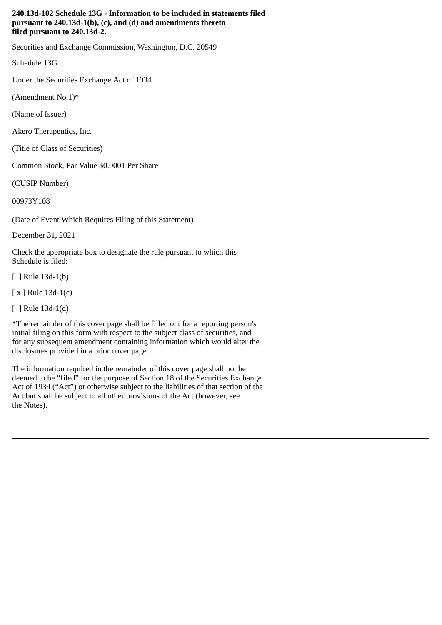## **240.13d-102 Schedule 13G - Information to be included in statements filed pursuant to 240.13d-1(b), (c), and (d) and amendments thereto filed pursuant to 240.13d-2.**

Securities and Exchange Commission, Washington, D.C. 20549

Schedule 13G

Under the Securities Exchange Act of 1934

(Amendment No.1)\*

(Name of Issuer)

Akero Therapeutics, Inc.

(Title of Class of Securities)

Common Stock, Par Value \$0.0001 Per Share

(CUSIP Number)

00973Y108

(Date of Event Which Requires Filing of this Statement)

December 31, 2021

Check the appropriate box to designate the rule pursuant to which this Schedule is filed:

[ ] Rule 13d-1(b)

[ x ] Rule 13d-1(c)

[ ] Rule 13d-1(d)

\*The remainder of this cover page shall be filled out for a reporting person's initial filing on this form with respect to the subject class of securities, and for any subsequent amendment containing information which would alter the disclosures provided in a prior cover page.

The information required in the remainder of this cover page shall not be deemed to be "filed" for the purpose of Section 18 of the Securities Exchange Act of 1934 ("Act") or otherwise subject to the liabilities of that section of the Act but shall be subject to all other provisions of the Act (however, see the Notes).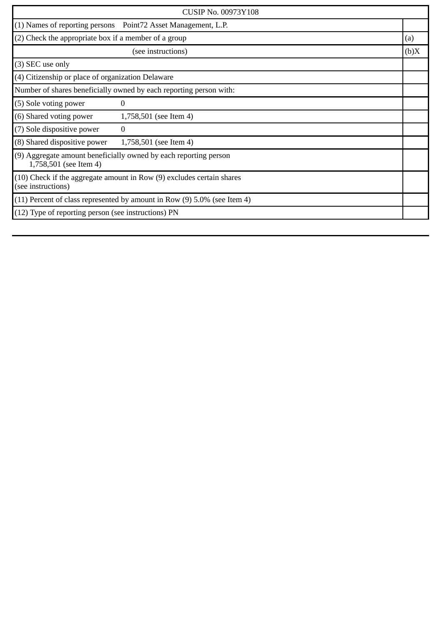| <b>CUSIP No. 00973Y108</b>                                                                  |                                                                |      |
|---------------------------------------------------------------------------------------------|----------------------------------------------------------------|------|
|                                                                                             | (1) Names of reporting persons  Point72 Asset Management, L.P. |      |
| (2) Check the appropriate box if a member of a group                                        |                                                                | (a)  |
|                                                                                             | (see instructions)                                             | (b)X |
| (3) SEC use only                                                                            |                                                                |      |
| (4) Citizenship or place of organization Delaware                                           |                                                                |      |
| Number of shares beneficially owned by each reporting person with:                          |                                                                |      |
| (5) Sole voting power                                                                       | 0                                                              |      |
| (6) Shared voting power                                                                     | 1,758,501 (see Item 4)                                         |      |
| (7) Sole dispositive power                                                                  | $\Omega$                                                       |      |
| (8) Shared dispositive power                                                                | 1,758,501 (see Item 4)                                         |      |
| (9) Aggregate amount beneficially owned by each reporting person<br>1,758,501 (see Item 4)  |                                                                |      |
| (10) Check if the aggregate amount in Row (9) excludes certain shares<br>(see instructions) |                                                                |      |
| $(11)$ Percent of class represented by amount in Row $(9)$ 5.0% (see Item 4)                |                                                                |      |
| (12) Type of reporting person (see instructions) PN                                         |                                                                |      |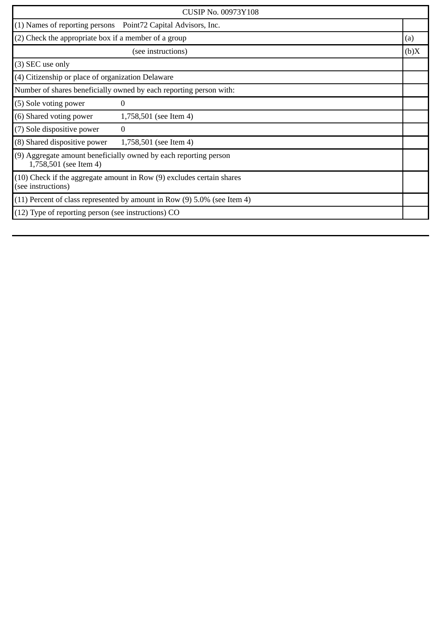| <b>CUSIP No. 00973Y108</b>                                                                      |                                                                |      |
|-------------------------------------------------------------------------------------------------|----------------------------------------------------------------|------|
|                                                                                                 | (1) Names of reporting persons  Point72 Capital Advisors, Inc. |      |
| (2) Check the appropriate box if a member of a group                                            |                                                                | (a)  |
|                                                                                                 | (see instructions)                                             | (b)X |
| (3) SEC use only                                                                                |                                                                |      |
| $(4)$ Citizenship or place of organization Delaware                                             |                                                                |      |
| Number of shares beneficially owned by each reporting person with:                              |                                                                |      |
| (5) Sole voting power                                                                           | $\Omega$                                                       |      |
| (6) Shared voting power                                                                         | 1,758,501 (see Item 4)                                         |      |
| (7) Sole dispositive power                                                                      | $\Omega$                                                       |      |
| (8) Shared dispositive power                                                                    | 1,758,501 (see Item 4)                                         |      |
| (9) Aggregate amount beneficially owned by each reporting person<br>1,758,501 (see Item 4)      |                                                                |      |
| $(10)$ Check if the aggregate amount in Row $(9)$ excludes certain shares<br>(see instructions) |                                                                |      |
| $(11)$ Percent of class represented by amount in Row $(9)$ 5.0% (see Item 4)                    |                                                                |      |
| $(12)$ Type of reporting person (see instructions) CO                                           |                                                                |      |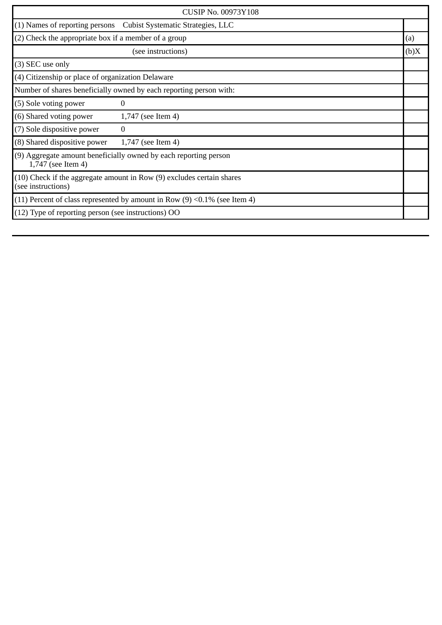| <b>CUSIP No. 00973Y108</b>                                                                  |                                   |      |
|---------------------------------------------------------------------------------------------|-----------------------------------|------|
| (1) Names of reporting persons                                                              | Cubist Systematic Strategies, LLC |      |
| (2) Check the appropriate box if a member of a group                                        |                                   | (a)  |
|                                                                                             | (see instructions)                | (b)X |
| (3) SEC use only                                                                            |                                   |      |
| (4) Citizenship or place of organization Delaware                                           |                                   |      |
| Number of shares beneficially owned by each reporting person with:                          |                                   |      |
| (5) Sole voting power                                                                       | 0                                 |      |
| (6) Shared voting power                                                                     | 1,747 (see Item 4)                |      |
| (7) Sole dispositive power                                                                  | $\Omega$                          |      |
| (8) Shared dispositive power                                                                | 1,747 (see Item 4)                |      |
| (9) Aggregate amount beneficially owned by each reporting person<br>1,747 (see Item 4)      |                                   |      |
| (10) Check if the aggregate amount in Row (9) excludes certain shares<br>(see instructions) |                                   |      |
| (11) Percent of class represented by amount in Row $(9)$ <0.1% (see Item 4)                 |                                   |      |
| (12) Type of reporting person (see instructions) OO                                         |                                   |      |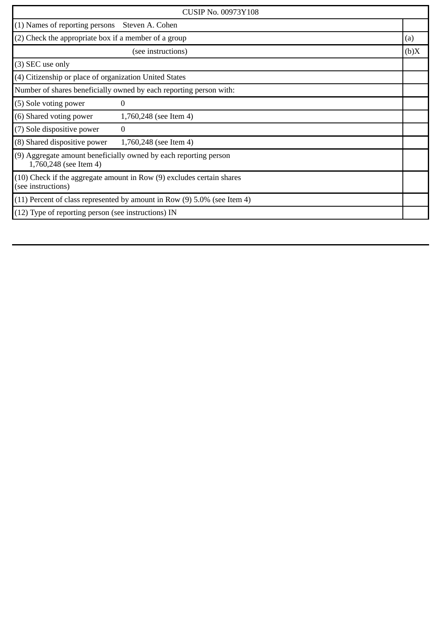| <b>CUSIP No. 00973Y108</b>                                                                  |                        |      |
|---------------------------------------------------------------------------------------------|------------------------|------|
| $(1)$ Names of reporting persons                                                            | Steven A. Cohen        |      |
| (2) Check the appropriate box if a member of a group                                        |                        | (a)  |
|                                                                                             | (see instructions)     | (b)X |
| (3) SEC use only                                                                            |                        |      |
| (4) Citizenship or place of organization United States                                      |                        |      |
| Number of shares beneficially owned by each reporting person with:                          |                        |      |
| (5) Sole voting power                                                                       | 0                      |      |
| (6) Shared voting power                                                                     | 1,760,248 (see Item 4) |      |
| (7) Sole dispositive power                                                                  | 0                      |      |
| (8) Shared dispositive power                                                                | 1,760,248 (see Item 4) |      |
| (9) Aggregate amount beneficially owned by each reporting person<br>1,760,248 (see Item 4)  |                        |      |
| (10) Check if the aggregate amount in Row (9) excludes certain shares<br>(see instructions) |                        |      |
| $(11)$ Percent of class represented by amount in Row $(9)$ 5.0% (see Item 4)                |                        |      |
| $(12)$ Type of reporting person (see instructions) IN                                       |                        |      |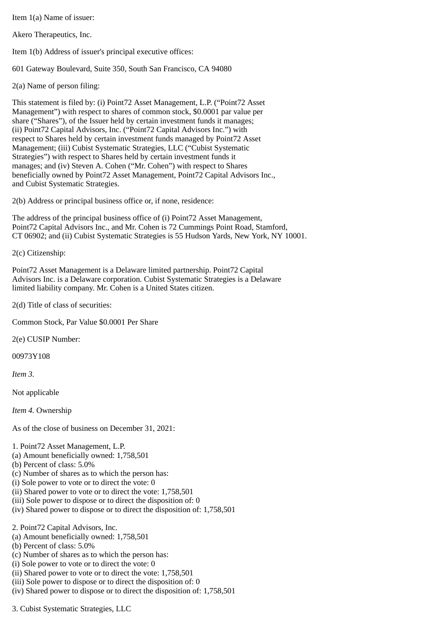Item 1(a) Name of issuer:

Akero Therapeutics, Inc.

Item 1(b) Address of issuer's principal executive offices:

601 Gateway Boulevard, Suite 350, South San Francisco, CA 94080

2(a) Name of person filing:

This statement is filed by: (i) Point72 Asset Management, L.P. ("Point72 Asset Management") with respect to shares of common stock, \$0.0001 par value per share ("Shares"), of the Issuer held by certain investment funds it manages; (ii) Point72 Capital Advisors, Inc. ("Point72 Capital Advisors Inc.") with respect to Shares held by certain investment funds managed by Point72 Asset Management; (iii) Cubist Systematic Strategies, LLC ("Cubist Systematic Strategies") with respect to Shares held by certain investment funds it manages; and (iv) Steven A. Cohen ("Mr. Cohen") with respect to Shares beneficially owned by Point72 Asset Management, Point72 Capital Advisors Inc., and Cubist Systematic Strategies.

2(b) Address or principal business office or, if none, residence:

The address of the principal business office of (i) Point72 Asset Management, Point72 Capital Advisors Inc., and Mr. Cohen is 72 Cummings Point Road, Stamford, CT 06902; and (ii) Cubist Systematic Strategies is 55 Hudson Yards, New York, NY 10001.

2(c) Citizenship:

Point72 Asset Management is a Delaware limited partnership. Point72 Capital Advisors Inc. is a Delaware corporation. Cubist Systematic Strategies is a Delaware limited liability company. Mr. Cohen is a United States citizen.

2(d) Title of class of securities:

Common Stock, Par Value \$0.0001 Per Share

2(e) CUSIP Number:

00973Y108

*Item 3.*

Not applicable

*Item 4.* Ownership

As of the close of business on December 31, 2021:

1. Point72 Asset Management, L.P.

- (a) Amount beneficially owned: 1,758,501
- (b) Percent of class: 5.0%
- (c) Number of shares as to which the person has:
- (i) Sole power to vote or to direct the vote: 0
- (ii) Shared power to vote or to direct the vote: 1,758,501
- (iii) Sole power to dispose or to direct the disposition of: 0
- (iv) Shared power to dispose or to direct the disposition of: 1,758,501

2. Point72 Capital Advisors, Inc.

- (a) Amount beneficially owned: 1,758,501
- (b) Percent of class: 5.0%
- (c) Number of shares as to which the person has:
- (i) Sole power to vote or to direct the vote: 0
- (ii) Shared power to vote or to direct the vote: 1,758,501
- (iii) Sole power to dispose or to direct the disposition of: 0
- (iv) Shared power to dispose or to direct the disposition of: 1,758,501

3. Cubist Systematic Strategies, LLC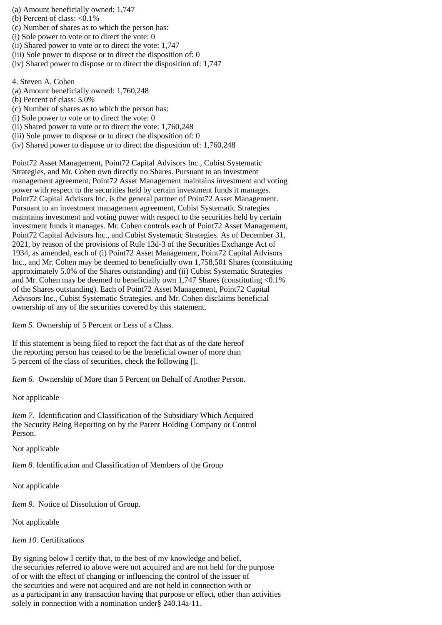- (a) Amount beneficially owned: 1,747
- (b) Percent of class: <0.1%
- (c) Number of shares as to which the person has:
- (i) Sole power to vote or to direct the vote: 0
- (ii) Shared power to vote or to direct the vote: 1,747
- (iii) Sole power to dispose or to direct the disposition of: 0
- (iv) Shared power to dispose or to direct the disposition of: 1,747

4. Steven A. Cohen

- (a) Amount beneficially owned: 1,760,248
- (b) Percent of class: 5.0%
- (c) Number of shares as to which the person has:
- (i) Sole power to vote or to direct the vote: 0
- (ii) Shared power to vote or to direct the vote: 1,760,248
- (iii) Sole power to dispose or to direct the disposition of: 0
- (iv) Shared power to dispose or to direct the disposition of: 1,760,248

Point72 Asset Management, Point72 Capital Advisors Inc., Cubist Systematic Strategies, and Mr. Cohen own directly no Shares. Pursuant to an investment management agreement, Point72 Asset Management maintains investment and voting power with respect to the securities held by certain investment funds it manages. Point72 Capital Advisors Inc. is the general partner of Point72 Asset Management. Pursuant to an investment management agreement, Cubist Systematic Strategies maintains investment and voting power with respect to the securities held by certain investment funds it manages. Mr. Cohen controls each of Point72 Asset Management, Point72 Capital Advisors Inc., and Cubist Systematic Strategies. As of December 31, 2021, by reason of the provisions of Rule 13d-3 of the Securities Exchange Act of 1934, as amended, each of (i) Point72 Asset Management, Point72 Capital Advisors Inc., and Mr. Cohen may be deemed to beneficially own 1,758,501 Shares (constituting approximately 5.0% of the Shares outstanding) and (ii) Cubist Systematic Strategies and Mr. Cohen may be deemed to beneficially own  $1,747$  Shares (constituting <0.1%) of the Shares outstanding). Each of Point72 Asset Management, Point72 Capital Advisors Inc., Cubist Systematic Strategies, and Mr. Cohen disclaims beneficial ownership of any of the securities covered by this statement.

*Item 5.* Ownership of 5 Percent or Less of a Class.

If this statement is being filed to report the fact that as of the date hereof the reporting person has ceased to be the beneficial owner of more than 5 percent of the class of securities, check the following [].

*Item 6.* Ownership of More than 5 Percent on Behalf of Another Person.

Not applicable

*Item 7.* Identification and Classification of the Subsidiary Which Acquired the Security Being Reporting on by the Parent Holding Company or Control Person.

Not applicable

*Item 8.* Identification and Classification of Members of the Group

Not applicable

*Item 9.* Notice of Dissolution of Group.

Not applicable

## *Item 10.* Certifications

By signing below I certify that, to the best of my knowledge and belief, the securities referred to above were not acquired and are not held for the purpose of or with the effect of changing or influencing the control of the issuer of the securities and were not acquired and are not held in connection with or as a participant in any transaction having that purpose or effect, other than activities solely in connection with a nomination under§ 240.14a-11.